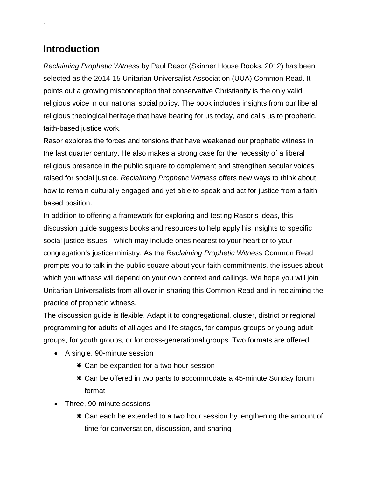# **Introduction**

*Reclaiming Prophetic Witness* by Paul Rasor (Skinner House Books, 2012) has been selected as the 2014-15 Unitarian Universalist Association (UUA) Common Read. It points out a growing misconception that conservative Christianity is the only valid religious voice in our national social policy. The book includes insights from our liberal religious theological heritage that have bearing for us today, and calls us to prophetic, faith-based justice work.

Rasor explores the forces and tensions that have weakened our prophetic witness in the last quarter century. He also makes a strong case for the necessity of a liberal religious presence in the public square to complement and strengthen secular voices raised for social justice. *Reclaiming Prophetic Witness* offers new ways to think about how to remain culturally engaged and yet able to speak and act for justice from a faithbased position.

In addition to offering a framework for exploring and testing Rasor's ideas, this discussion guide suggests books and resources to help apply his insights to specific social justice issues—which may include ones nearest to your heart or to your congregation's justice ministry. As the *Reclaiming Prophetic Witness* Common Read prompts you to talk in the public square about your faith commitments, the issues about which you witness will depend on your own context and callings. We hope you will join Unitarian Universalists from all over in sharing this Common Read and in reclaiming the practice of prophetic witness.

The discussion guide is flexible. Adapt it to congregational, cluster, district or regional programming for adults of all ages and life stages, for campus groups or young adult groups, for youth groups, or for cross-generational groups. Two formats are offered:

- A single, 90-minute session
	- Can be expanded for a two-hour session
	- Can be offered in two parts to accommodate a 45-minute Sunday forum format
- Three, 90-minute sessions
	- Can each be extended to a two hour session by lengthening the amount of time for conversation, discussion, and sharing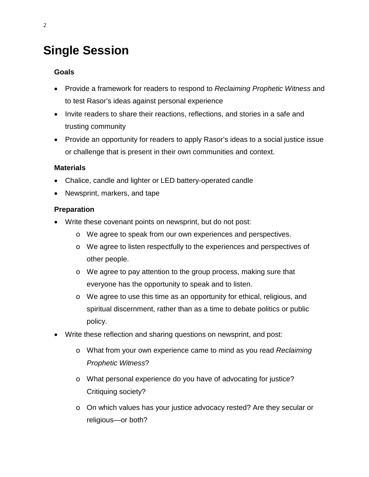# **Single Session**

## **Goals**

- Provide a framework for readers to respond to *Reclaiming Prophetic Witness* and to test Rasor's ideas against personal experience
- Invite readers to share their reactions, reflections, and stories in a safe and trusting community
- Provide an opportunity for readers to apply Rasor's ideas to a social justice issue or challenge that is present in their own communities and context.

## **Materials**

- Chalice, candle and lighter or LED battery-operated candle
- Newsprint, markers, and tape

## **Preparation**

- Write these covenant points on newsprint, but do not post:
	- o We agree to speak from our own experiences and perspectives.
	- o We agree to listen respectfully to the experiences and perspectives of other people.
	- o We agree to pay attention to the group process, making sure that everyone has the opportunity to speak and to listen.
	- o We agree to use this time as an opportunity for ethical, religious, and spiritual discernment, rather than as a time to debate politics or public policy.
- Write these reflection and sharing questions on newsprint, and post:
	- o What from your own experience came to mind as you read *Reclaiming Prophetic Witness*?
	- o What personal experience do you have of advocating for justice? Critiquing society?
	- o On which values has your justice advocacy rested? Are they secular or religious—or both?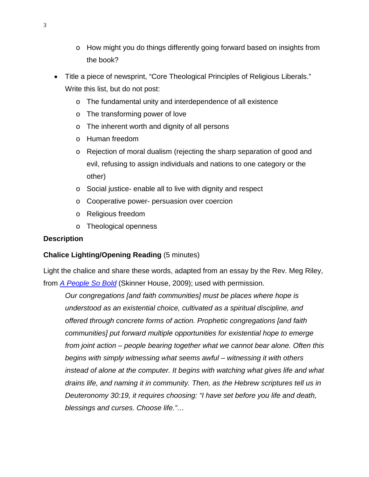- o How might you do things differently going forward based on insights from the book?
- Title a piece of newsprint, "Core Theological Principles of Religious Liberals." Write this list, but do not post:
	- o The fundamental unity and interdependence of all existence
	- o The transforming power of love
	- o The inherent worth and dignity of all persons
	- o Human freedom
	- o Rejection of moral dualism (rejecting the sharp separation of good and evil, refusing to assign individuals and nations to one category or the other)
	- o Social justice- enable all to live with dignity and respect
	- o Cooperative power- persuasion over coercion
	- o Religious freedom
	- o Theological openness

## **Description**

## **Chalice Lighting/Opening Reading** (5 minutes)

Light the chalice and share these words, adapted from an essay by the Rev. Meg Riley, from *[A People So Bold](http://www.uuabookstore.org/productdetails.cfm?PC=3433)* (Skinner House, 2009); used with permission.

*Our congregations [and faith communities] must be places where hope is understood as an existential choice, cultivated as a spiritual discipline, and offered through concrete forms of action. Prophetic congregations [and faith communities] put forward multiple opportunities for existential hope to emerge from joint action – people bearing together what we cannot bear alone. Often this begins with simply witnessing what seems awful – witnessing it with others instead of alone at the computer. It begins with watching what gives life and what drains life, and naming it in community. Then, as the Hebrew scriptures tell us in Deuteronomy 30:19, it requires choosing: "I have set before you life and death, blessings and curses. Choose life."…*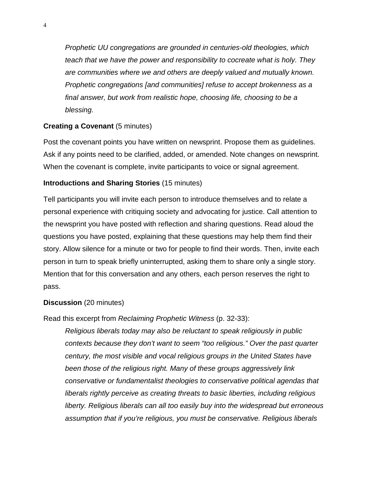*Prophetic UU congregations are grounded in centuries-old theologies, which teach that we have the power and responsibility to cocreate what is holy. They are communities where we and others are deeply valued and mutually known. Prophetic congregations [and communities] refuse to accept brokenness as a final answer, but work from realistic hope, choosing life, choosing to be a blessing.* 

## **Creating a Covenant (5 minutes)**

Post the covenant points you have written on newsprint. Propose them as guidelines. Ask if any points need to be clarified, added, or amended. Note changes on newsprint. When the covenant is complete, invite participants to voice or signal agreement.

## **Introductions and Sharing Stories** (15 minutes)

Tell participants you will invite each person to introduce themselves and to relate a personal experience with critiquing society and advocating for justice. Call attention to the newsprint you have posted with reflection and sharing questions. Read aloud the questions you have posted, explaining that these questions may help them find their story. Allow silence for a minute or two for people to find their words. Then, invite each person in turn to speak briefly uninterrupted, asking them to share only a single story. Mention that for this conversation and any others, each person reserves the right to pass.

#### **Discussion** (20 minutes)

Read this excerpt from *Reclaiming Prophetic Witness* (p. 32-33):

*Religious liberals today may also be reluctant to speak religiously in public contexts because they don't want to seem "too religious." Over the past quarter century, the most visible and vocal religious groups in the United States have been those of the religious right. Many of these groups aggressively link conservative or fundamentalist theologies to conservative political agendas that liberals rightly perceive as creating threats to basic liberties, including religious liberty. Religious liberals can all too easily buy into the widespread but erroneous assumption that if you're religious, you must be conservative. Religious liberals*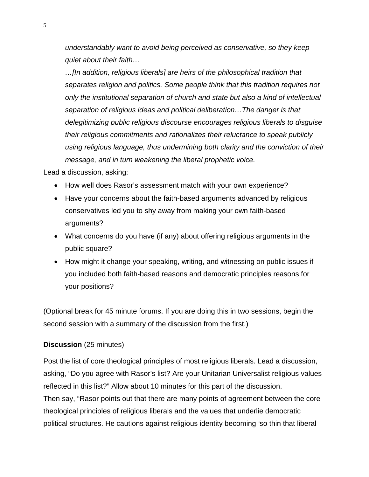*understandably want to avoid being perceived as conservative, so they keep quiet about their faith…*

*…[In addition, religious liberals] are heirs of the philosophical tradition that separates religion and politics. Some people think that this tradition requires not only the institutional separation of church and state but also a kind of intellectual separation of religious ideas and political deliberation…The danger is that delegitimizing public religious discourse encourages religious liberals to disguise their religious commitments and rationalizes their reluctance to speak publicly using religious language, thus undermining both clarity and the conviction of their message, and in turn weakening the liberal prophetic voice.*

Lead a discussion, asking:

- How well does Rasor's assessment match with your own experience?
- Have your concerns about the faith-based arguments advanced by religious conservatives led you to shy away from making your own faith-based arguments?
- What concerns do you have (if any) about offering religious arguments in the public square?
- How might it change your speaking, writing, and witnessing on public issues if you included both faith-based reasons and democratic principles reasons for your positions?

(Optional break for 45 minute forums. If you are doing this in two sessions, begin the second session with a summary of the discussion from the first.)

#### **Discussion** (25 minutes)

Post the list of core theological principles of most religious liberals. Lead a discussion, asking, "Do you agree with Rasor's list? Are your Unitarian Universalist religious values reflected in this list?" Allow about 10 minutes for this part of the discussion. Then say, "Rasor points out that there are many points of agreement between the core theological principles of religious liberals and the values that underlie democratic political structures. He cautions against religious identity becoming *'*so thin that liberal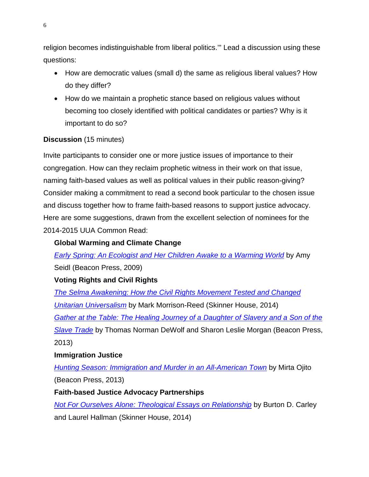religion becomes indistinguishable from liberal politics.'" Lead a discussion using these questions:

- How are democratic values (small d) the same as religious liberal values? How do they differ?
- How do we maintain a prophetic stance based on religious values without becoming too closely identified with political candidates or parties? Why is it important to do so?

# **Discussion** (15 minutes)

Invite participants to consider one or more justice issues of importance to their congregation. How can they reclaim prophetic witness in their work on that issue, naming faith-based values as well as political values in their public reason-giving? Consider making a commitment to read a second book particular to the chosen issue and discuss together how to frame faith-based reasons to support justice advocacy. Here are some suggestions, drawn from the excellent selection of nominees for the 2014-2015 UUA Common Read:

## **Global Warming and Climate Change**

*[Early Spring: An Ecologist and Her Children Awake to a Warming World](http://www.uuabookstore.org/productdetails.cfm?PC=3465)* by Amy Seidl (Beacon Press, 2009)

# **Voting Rights and Civil Rights**

*[The Selma Awakening: How the Civil Rights Movement Tested and Changed](http://www.uuabookstore.org/productdetails.cfm?PC=2088)  [Unitarian Universalism](http://www.uuabookstore.org/productdetails.cfm?PC=2088)* by Mark Morrison-Reed (Skinner House, 2014) *[Gather at the Table: The Healing Journey of a Daughter of Slavery and a Son of the](http://www.uuabookstore.org/productdetails.cfm?PC=3747)  [Slave Trade](http://www.uuabookstore.org/productdetails.cfm?PC=3747)* by Thomas Norman DeWolf and Sharon Leslie Morgan (Beacon Press, 2013)

## **Immigration Justice**

*[Hunting Season: Immigration and Murder in an All-American Town](http://www.beacon.org/Hunting-Season-P1053.aspx)* by Mirta Ojito (Beacon Press, 2013)

## **Faith-based Justice Advocacy Partnerships**

*[Not For Ourselves Alone: Theological Essays on Relationship](http://www.uuabookstore.org/productdetails.cfm?PC=3821)* by Burton D. Carley and Laurel Hallman (Skinner House, 2014)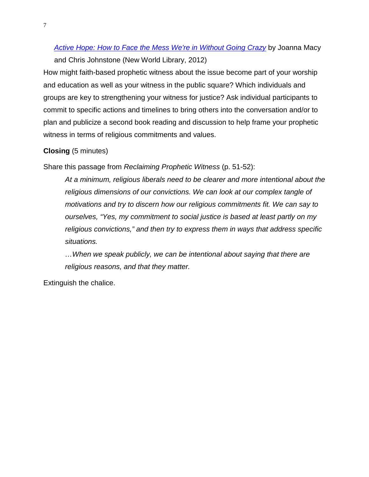# *[Active Hope: How to Face the Mess We're in Without Going Crazy](http://www.activehope.info/)* by Joanna Macy and Chris Johnstone (New World Library, 2012)

How might faith-based prophetic witness about the issue become part of your worship and education as well as your witness in the public square? Which individuals and groups are key to strengthening your witness for justice? Ask individual participants to commit to specific actions and timelines to bring others into the conversation and/or to plan and publicize a second book reading and discussion to help frame your prophetic witness in terms of religious commitments and values.

## **Closing** (5 minutes)

Share this passage from *Reclaiming Prophetic Witness* (p. 51-52):

*At a minimum, religious liberals need to be clearer and more intentional about the religious dimensions of our convictions. We can look at our complex tangle of motivations and try to discern how our religious commitments fit. We can say to ourselves, "Yes, my commitment to social justice is based at least partly on my religious convictions," and then try to express them in ways that address specific situations.*

*…When we speak publicly, we can be intentional about saying that there are religious reasons, and that they matter.* 

Extinguish the chalice.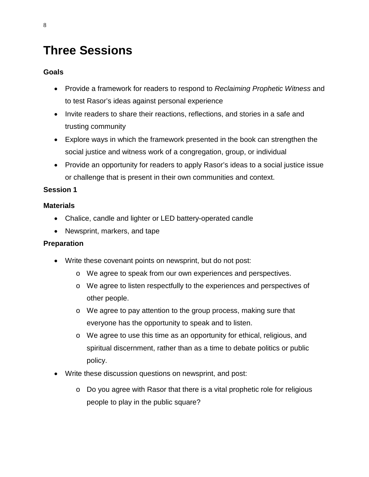# **Three Sessions**

## **Goals**

- Provide a framework for readers to respond to *Reclaiming Prophetic Witness* and to test Rasor's ideas against personal experience
- Invite readers to share their reactions, reflections, and stories in a safe and trusting community
- Explore ways in which the framework presented in the book can strengthen the social justice and witness work of a congregation, group, or individual
- Provide an opportunity for readers to apply Rasor's ideas to a social justice issue or challenge that is present in their own communities and context.

## **Session 1**

## **Materials**

- Chalice, candle and lighter or LED battery-operated candle
- Newsprint, markers, and tape

## **Preparation**

- Write these covenant points on newsprint, but do not post:
	- o We agree to speak from our own experiences and perspectives.
	- o We agree to listen respectfully to the experiences and perspectives of other people.
	- o We agree to pay attention to the group process, making sure that everyone has the opportunity to speak and to listen.
	- o We agree to use this time as an opportunity for ethical, religious, and spiritual discernment, rather than as a time to debate politics or public policy.
- Write these discussion questions on newsprint, and post:
	- o Do you agree with Rasor that there is a vital prophetic role for religious people to play in the public square?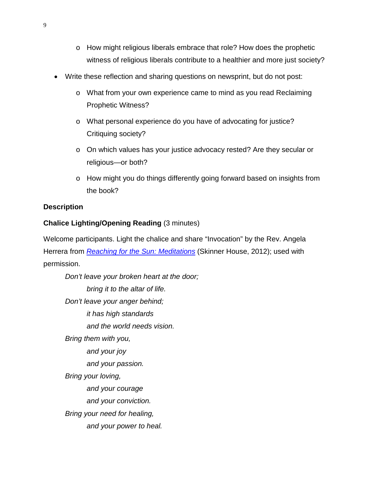- o How might religious liberals embrace that role? How does the prophetic witness of religious liberals contribute to a healthier and more just society?
- Write these reflection and sharing questions on newsprint, but do not post:
	- o What from your own experience came to mind as you read Reclaiming Prophetic Witness?
	- o What personal experience do you have of advocating for justice? Critiquing society?
	- o On which values has your justice advocacy rested? Are they secular or religious—or both?
	- o How might you do things differently going forward based on insights from the book?

#### **Description**

#### **Chalice Lighting/Opening Reading** (3 minutes)

Welcome participants. Light the chalice and share "Invocation" by the Rev. Angela Herrera from *[Reaching for the Sun: Meditations](http://www.uuabookstore.org/productdetails.cfm?PC=3600)* (Skinner House, 2012); used with permission.

*Don't leave your broken heart at the door; bring it to the altar of life. Don't leave your anger behind; it has high standards and the world needs vision. Bring them with you, and your joy and your passion. Bring your loving, and your courage and your conviction. Bring your need for healing, and your power to heal.*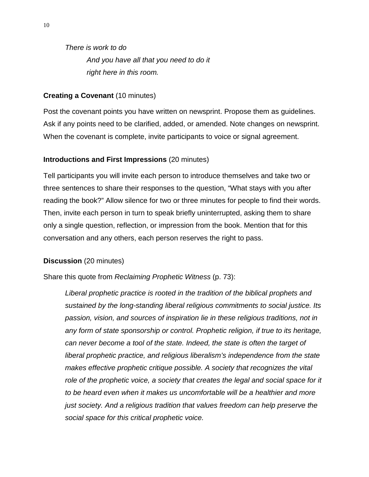*There is work to do And you have all that you need to do it right here in this room.*

#### **Creating a Covenant (10 minutes)**

Post the covenant points you have written on newsprint. Propose them as guidelines. Ask if any points need to be clarified, added, or amended. Note changes on newsprint. When the covenant is complete, invite participants to voice or signal agreement.

#### **Introductions and First Impressions** (20 minutes)

Tell participants you will invite each person to introduce themselves and take two or three sentences to share their responses to the question, "What stays with you after reading the book?" Allow silence for two or three minutes for people to find their words. Then, invite each person in turn to speak briefly uninterrupted, asking them to share only a single question, reflection, or impression from the book. Mention that for this conversation and any others, each person reserves the right to pass.

#### **Discussion** (20 minutes)

Share this quote from *Reclaiming Prophetic Witness* (p. 73):

*Liberal prophetic practice is rooted in the tradition of the biblical prophets and sustained by the long-standing liberal religious commitments to social justice. Its passion, vision, and sources of inspiration lie in these religious traditions, not in any form of state sponsorship or control. Prophetic religion, if true to its heritage, can never become a tool of the state. Indeed, the state is often the target of liberal prophetic practice, and religious liberalism's independence from the state makes effective prophetic critique possible. A society that recognizes the vital*  role of the prophetic voice, a society that creates the legal and social space for it *to be heard even when it makes us uncomfortable will be a healthier and more just society. And a religious tradition that values freedom can help preserve the social space for this critical prophetic voice.*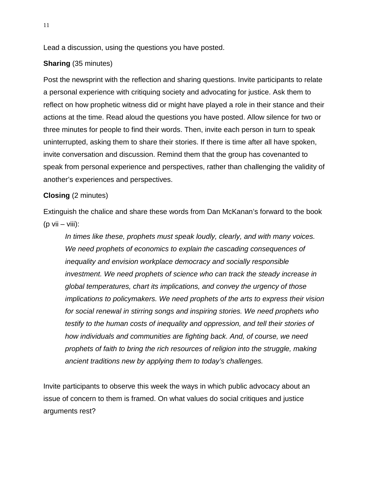Lead a discussion, using the questions you have posted.

## **Sharing** (35 minutes)

Post the newsprint with the reflection and sharing questions. Invite participants to relate a personal experience with critiquing society and advocating for justice. Ask them to reflect on how prophetic witness did or might have played a role in their stance and their actions at the time. Read aloud the questions you have posted. Allow silence for two or three minutes for people to find their words. Then, invite each person in turn to speak uninterrupted, asking them to share their stories. If there is time after all have spoken, invite conversation and discussion. Remind them that the group has covenanted to speak from personal experience and perspectives, rather than challenging the validity of another's experiences and perspectives.

## **Closing** (2 minutes)

Extinguish the chalice and share these words from Dan McKanan's forward to the book  $(p \text{ vii} - \text{viii})$ :

*In times like these, prophets must speak loudly, clearly, and with many voices. We need prophets of economics to explain the cascading consequences of inequality and envision workplace democracy and socially responsible investment. We need prophets of science who can track the steady increase in global temperatures, chart its implications, and convey the urgency of those implications to policymakers. We need prophets of the arts to express their vision for social renewal in stirring songs and inspiring stories. We need prophets who testify to the human costs of inequality and oppression, and tell their stories of how individuals and communities are fighting back. And, of course, we need prophets of faith to bring the rich resources of religion into the struggle, making ancient traditions new by applying them to today's challenges.*

Invite participants to observe this week the ways in which public advocacy about an issue of concern to them is framed. On what values do social critiques and justice arguments rest?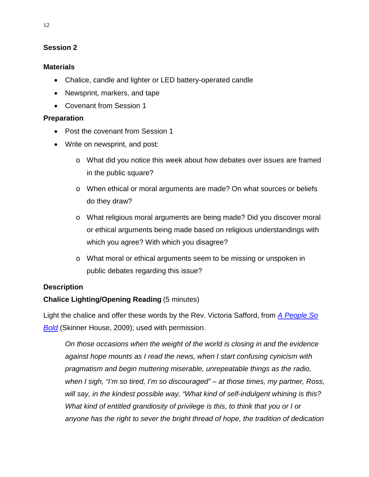## **Session 2**

#### **Materials**

- Chalice, candle and lighter or LED battery-operated candle
- Newsprint, markers, and tape
- Covenant from Session 1

#### **Preparation**

- Post the covenant from Session 1
- Write on newsprint, and post:
	- o What did you notice this week about how debates over issues are framed in the public square?
	- o When ethical or moral arguments are made? On what sources or beliefs do they draw?
	- o What religious moral arguments are being made? Did you discover moral or ethical arguments being made based on religious understandings with which you agree? With which you disagree?
	- o What moral or ethical arguments seem to be missing or unspoken in public debates regarding this issue?

#### **Description**

## **Chalice Lighting/Opening Reading** (5 minutes)

Light the chalice and offer these words by the Rev. Victoria Safford, from *[A People So](http://www.uuabookstore.org/productdetails.cfm?PC=3433)  [Bold](http://www.uuabookstore.org/productdetails.cfm?PC=3433)* (Skinner House, 2009); used with permission.

*On those occasions when the weight of the world is closing in and the evidence against hope mounts as I read the news, when I start confusing cynicism with pragmatism and begin muttering miserable, unrepeatable things as the radio, when I sigh, "I'm so tired, I'm so discouraged" – at those times, my partner, Ross, will say, in the kindest possible way, "What kind of self-indulgent whining is this? What kind of entitled grandiosity of privilege is this, to think that you or I or anyone has the right to sever the bright thread of hope, the tradition of dedication*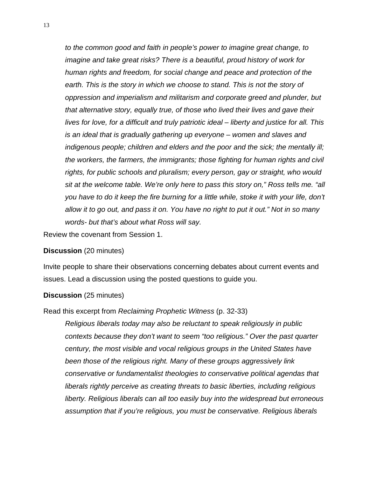*to the common good and faith in people's power to imagine great change, to imagine and take great risks? There is a beautiful, proud history of work for human rights and freedom, for social change and peace and protection of the earth. This is the story in which we choose to stand. This is not the story of oppression and imperialism and militarism and corporate greed and plunder, but that alternative story, equally true, of those who lived their lives and gave their lives for love, for a difficult and truly patriotic ideal – liberty and justice for all. This is an ideal that is gradually gathering up everyone – women and slaves and indigenous people; children and elders and the poor and the sick; the mentally ill; the workers, the farmers, the immigrants; those fighting for human rights and civil rights, for public schools and pluralism; every person, gay or straight, who would sit at the welcome table. We're only here to pass this story on," Ross tells me. "all you have to do it keep the fire burning for a little while, stoke it with your life, don't allow it to go out, and pass it on. You have no right to put it out." Not in so many words- but that's about what Ross will say.*

Review the covenant from Session 1.

#### **Discussion** (20 minutes)

Invite people to share their observations concerning debates about current events and issues. Lead a discussion using the posted questions to guide you.

#### **Discussion** (25 minutes)

#### Read this excerpt from *Reclaiming Prophetic Witness* (p. 32-33)

*Religious liberals today may also be reluctant to speak religiously in public contexts because they don't want to seem "too religious." Over the past quarter century, the most visible and vocal religious groups in the United States have been those of the religious right. Many of these groups aggressively link conservative or fundamentalist theologies to conservative political agendas that liberals rightly perceive as creating threats to basic liberties, including religious liberty. Religious liberals can all too easily buy into the widespread but erroneous assumption that if you're religious, you must be conservative. Religious liberals*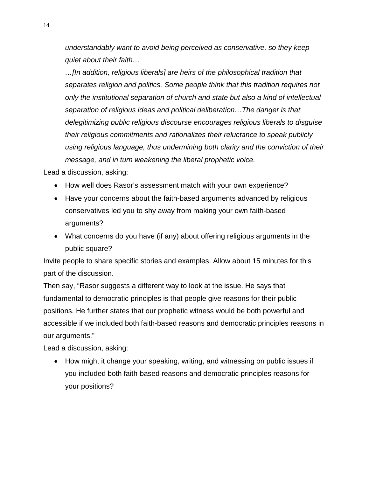*understandably want to avoid being perceived as conservative, so they keep quiet about their faith…*

*…[In addition, religious liberals] are heirs of the philosophical tradition that separates religion and politics. Some people think that this tradition requires not only the institutional separation of church and state but also a kind of intellectual separation of religious ideas and political deliberation…The danger is that delegitimizing public religious discourse encourages religious liberals to disguise their religious commitments and rationalizes their reluctance to speak publicly using religious language, thus undermining both clarity and the conviction of their message, and in turn weakening the liberal prophetic voice.*

Lead a discussion, asking:

- How well does Rasor's assessment match with your own experience?
- Have your concerns about the faith-based arguments advanced by religious conservatives led you to shy away from making your own faith-based arguments?
- What concerns do you have (if any) about offering religious arguments in the public square?

Invite people to share specific stories and examples. Allow about 15 minutes for this part of the discussion.

Then say, "Rasor suggests a different way to look at the issue. He says that fundamental to democratic principles is that people give reasons for their public positions. He further states that our prophetic witness would be both powerful and accessible if we included both faith-based reasons and democratic principles reasons in our arguments."

Lead a discussion, asking:

• How might it change your speaking, writing, and witnessing on public issues if you included both faith-based reasons and democratic principles reasons for your positions?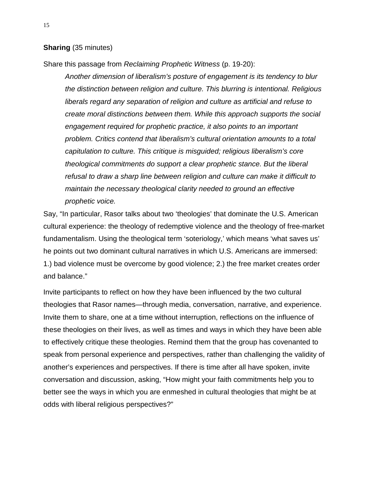**Sharing** (35 minutes)

Share this passage from *Reclaiming Prophetic Witness* (p. 19-20):

*Another dimension of liberalism's posture of engagement is its tendency to blur the distinction between religion and culture. This blurring is intentional. Religious liberals regard any separation of religion and culture as artificial and refuse to create moral distinctions between them. While this approach supports the social engagement required for prophetic practice, it also points to an important problem. Critics contend that liberalism's cultural orientation amounts to a total capitulation to culture. This critique is misguided; religious liberalism's core theological commitments do support a clear prophetic stance. But the liberal refusal to draw a sharp line between religion and culture can make it difficult to maintain the necessary theological clarity needed to ground an effective prophetic voice.* 

Say, "In particular, Rasor talks about two 'theologies' that dominate the U.S. American cultural experience: the theology of redemptive violence and the theology of free-market fundamentalism. Using the theological term 'soteriology,' which means 'what saves us' he points out two dominant cultural narratives in which U.S. Americans are immersed: 1.) bad violence must be overcome by good violence; 2.) the free market creates order and balance."

Invite participants to reflect on how they have been influenced by the two cultural theologies that Rasor names—through media, conversation, narrative, and experience. Invite them to share, one at a time without interruption, reflections on the influence of these theologies on their lives, as well as times and ways in which they have been able to effectively critique these theologies. Remind them that the group has covenanted to speak from personal experience and perspectives, rather than challenging the validity of another's experiences and perspectives. If there is time after all have spoken, invite conversation and discussion, asking, "How might your faith commitments help you to better see the ways in which you are enmeshed in cultural theologies that might be at odds with liberal religious perspectives?"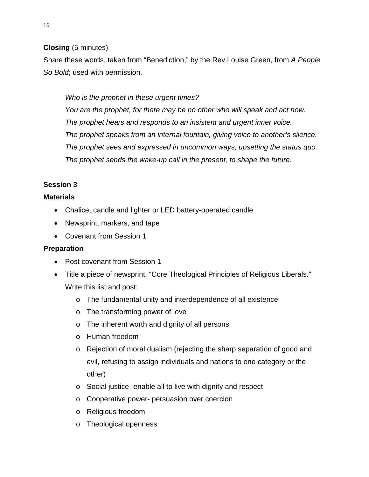## **Closing** (5 minutes)

Share these words, taken from "Benediction," by the Rev.Louise Green, from *A People So Bold*; used with permission.

## *Who is the prophet in these urgent times?*

*You are the prophet, for there may be no other who will speak and act now. The prophet hears and responds to an insistent and urgent inner voice. The prophet speaks from an internal fountain, giving voice to another's silence. The prophet sees and expressed in uncommon ways, upsetting the status quo. The prophet sends the wake-up call in the present, to shape the future.*

## **Session 3**

## **Materials**

- Chalice, candle and lighter or LED battery-operated candle
- Newsprint, markers, and tape
- Covenant from Session 1

## **Preparation**

- Post covenant from Session 1
- Title a piece of newsprint, "Core Theological Principles of Religious Liberals." Write this list and post:
	- o The fundamental unity and interdependence of all existence
	- o The transforming power of love
	- o The inherent worth and dignity of all persons
	- o Human freedom
	- o Rejection of moral dualism (rejecting the sharp separation of good and evil, refusing to assign individuals and nations to one category or the other)
	- o Social justice- enable all to live with dignity and respect
	- o Cooperative power- persuasion over coercion
	- o Religious freedom
	- o Theological openness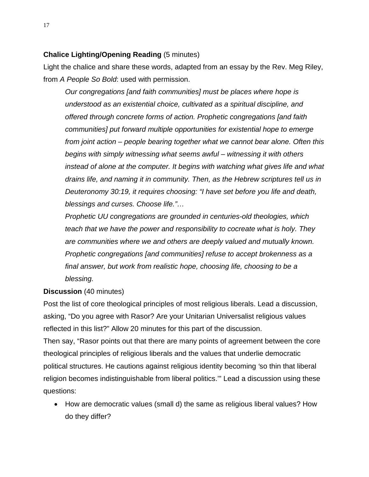## **Chalice Lighting/Opening Reading** (5 minutes)

Light the chalice and share these words, adapted from an essay by the Rev. Meg Riley, from *A People So Bold*: used with permission.

*Our congregations [and faith communities] must be places where hope is understood as an existential choice, cultivated as a spiritual discipline, and offered through concrete forms of action. Prophetic congregations [and faith communities] put forward multiple opportunities for existential hope to emerge from joint action – people bearing together what we cannot bear alone. Often this begins with simply witnessing what seems awful – witnessing it with others instead of alone at the computer. It begins with watching what gives life and what drains life, and naming it in community. Then, as the Hebrew scriptures tell us in Deuteronomy 30:19, it requires choosing: "I have set before you life and death, blessings and curses. Choose life."…*

*Prophetic UU congregations are grounded in centuries-old theologies, which teach that we have the power and responsibility to cocreate what is holy. They are communities where we and others are deeply valued and mutually known. Prophetic congregations [and communities] refuse to accept brokenness as a final answer, but work from realistic hope, choosing life, choosing to be a blessing.* 

## **Discussion** (40 minutes)

Post the list of core theological principles of most religious liberals. Lead a discussion, asking, "Do you agree with Rasor? Are your Unitarian Universalist religious values reflected in this list?" Allow 20 minutes for this part of the discussion.

Then say, "Rasor points out that there are many points of agreement between the core theological principles of religious liberals and the values that underlie democratic political structures. He cautions against religious identity becoming *'*so thin that liberal religion becomes indistinguishable from liberal politics.'" Lead a discussion using these questions:

• How are democratic values (small d) the same as religious liberal values? How do they differ?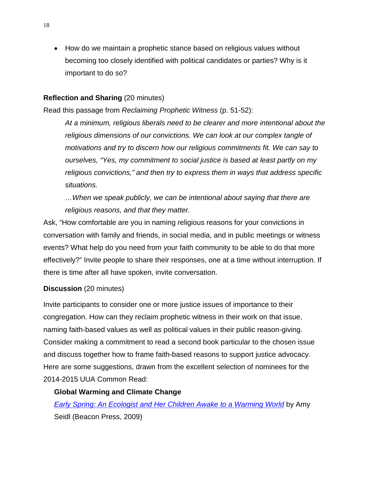• How do we maintain a prophetic stance based on religious values without becoming too closely identified with political candidates or parties? Why is it important to do so?

#### **Reflection and Sharing** (20 minutes)

Read this passage from *Reclaiming Prophetic Witness* (p. 51-52):

*At a minimum, religious liberals need to be clearer and more intentional about the religious dimensions of our convictions. We can look at our complex tangle of motivations and try to discern how our religious commitments fit. We can say to ourselves, "Yes, my commitment to social justice is based at least partly on my religious convictions," and then try to express them in ways that address specific situations.*

*…When we speak publicly, we can be intentional about saying that there are religious reasons, and that they matter.* 

Ask, "How comfortable are you in naming religious reasons for your convictions in conversation with family and friends, in social media, and in public meetings or witness events? What help do you need from your faith community to be able to do that more effectively?" Invite people to share their responses, one at a time without interruption. If there is time after all have spoken, invite conversation.

#### **Discussion** (20 minutes)

Invite participants to consider one or more justice issues of importance to their congregation. How can they reclaim prophetic witness in their work on that issue, naming faith-based values as well as political values in their public reason-giving. Consider making a commitment to read a second book particular to the chosen issue and discuss together how to frame faith-based reasons to support justice advocacy. Here are some suggestions, drawn from the excellent selection of nominees for the 2014-2015 UUA Common Read:

#### **Global Warming and Climate Change**

*[Early Spring: An Ecologist and Her Children Awake to a Warming World](http://www.uuabookstore.org/productdetails.cfm?PC=3465)* by Amy Seidl (Beacon Press, 2009)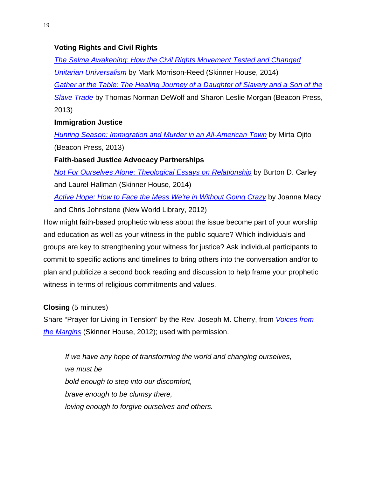## **Voting Rights and Civil Rights**

*[The Selma Awakening: How the Civil Rights Movement Tested and Changed](http://www.uuabookstore.org/productdetails.cfm?PC=2088)  [Unitarian Universalism](http://www.uuabookstore.org/productdetails.cfm?PC=2088)* by Mark Morrison-Reed (Skinner House, 2014) *[Gather at the Table: The Healing Journey of a Daughter of Slavery and a Son of the](http://www.uuabookstore.org/productdetails.cfm?PC=3747)  [Slave Trade](http://www.uuabookstore.org/productdetails.cfm?PC=3747)* by Thomas Norman DeWolf and Sharon Leslie Morgan (Beacon Press, 2013)

## **Immigration Justice**

*[Hunting Season: Immigration and Murder in an All-American Town](http://www.beacon.org/Hunting-Season-P1053.aspx)* by Mirta Ojito (Beacon Press, 2013)

**Faith-based Justice Advocacy Partnerships**

*[Not For Ourselves Alone: Theological Essays on Relationship](http://www.uuabookstore.org/productdetails.cfm?PC=3821)* by Burton D. Carley and Laurel Hallman (Skinner House, 2014)

*[Active Hope: How to Face the Mess We're in Without Going Crazy](http://www.activehope.info/)* by Joanna Macy

and Chris Johnstone (New World Library, 2012)

How might faith-based prophetic witness about the issue become part of your worship and education as well as your witness in the public square? Which individuals and groups are key to strengthening your witness for justice? Ask individual participants to commit to specific actions and timelines to bring others into the conversation and/or to plan and publicize a second book reading and discussion to help frame your prophetic witness in terms of religious commitments and values.

**Closing** (5 minutes)

Share "Prayer for Living in Tension" by the Rev. Joseph M. Cherry, from *[Voices from](http://www.uuabookstore.org/productdetails.cfm?PC=3599)  [the Margins](http://www.uuabookstore.org/productdetails.cfm?PC=3599)* (Skinner House, 2012); used with permission.

*If we have any hope of transforming the world and changing ourselves, we must be bold enough to step into our discomfort, brave enough to be clumsy there, loving enough to forgive ourselves and others.*